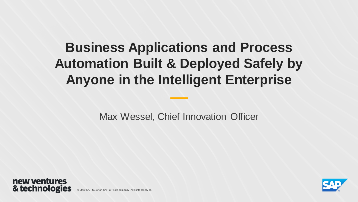# **Business Applications and Process Automation Built & Deployed Safely by Anyone in the Intelligent Enterprise**

Max Wessel, Chief Innovation Officer





© 2020 SAP SE or an SAP af filiate company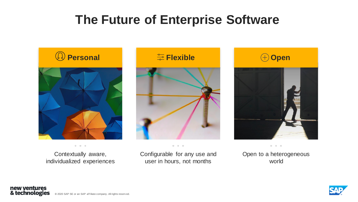## **The Future of Enterprise Software**



Contextually aware, individualized experiences



 $\begin{array}{ccccccccc} \bullet & \bullet & \bullet & \bullet \end{array}$ 

Configurable for any use and user in hours, not months



Open to a heterogeneous world



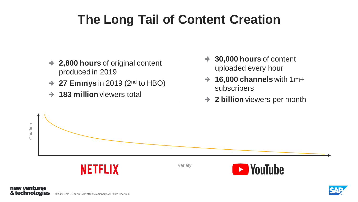# **The Long Tail of Content Creation**

- **2,800 hours** of original content produced in 2019
- **27 Emmys** in 2019 (2nd to HBO)  $\rightarrow$
- **183 million** viewers total  $\rightarrow$
- **30,000 hours** of content  $\rightarrow$ uploaded every hour
- **16,000 channels** with 1m+ subscribers
- **2 billion** viewers per month  $\rightarrow$





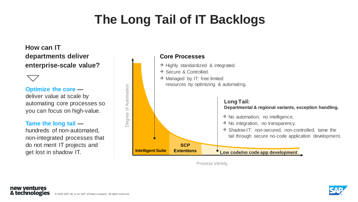# **The Long Tail of IT Backlogs**

**SCP** 

### **How can IT departments deliver enterprise-scale value?**

#### **Optimize the core —**

deliver value at scale by automating core processes so you can focus on high-value.

#### **Tame the long tail —**

hundreds of non-automated, non-integrated processes that do not merit IT projects and get lost in shadow IT.



**Intelligent Suite**

### $\rightarrow$  Highly standardized & integrated. → Secure & Controlled.  $\rightarrow$  Managed by IT: free limited resources by optimizing & automating.  $\rightarrow$  No automation, no intelligence.  $\rightarrow$  No integration, no transparency. **Core Processes Long Tail: Departmental & regional variants, exception handling.**

→ Shadow-IT: non-secured, non-controlled, tame the tail through secure no-code application development.

**Extentions**  $\bullet$  Low code/no code app development

Process Variety